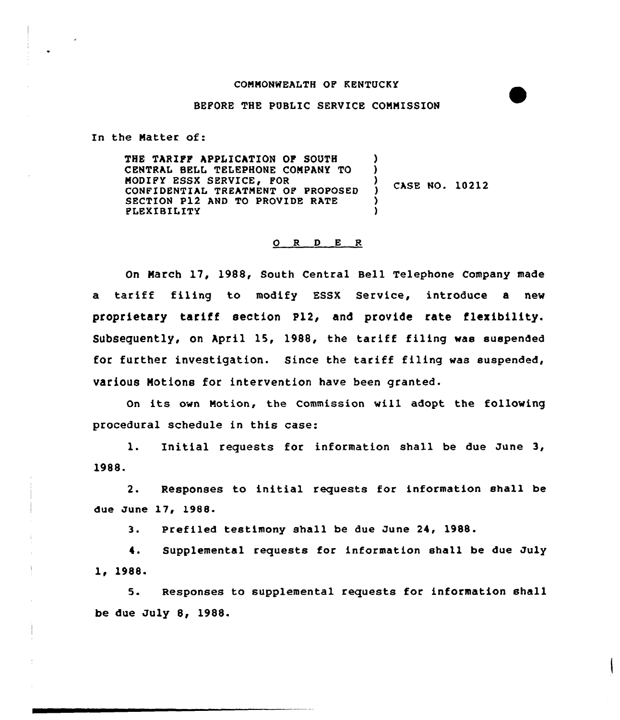## COMMONWEALTH OF KENTUCKY

## BEFORE THE PUBLIC SERVICE CONNISSION

In the Natter of:

THE TARIFF APPLICATION OF SOUTH CENTRAL SELL TELEPHONE COMPANY TQ MODIFY ESSX SERVICE, FOR CONFIDENTIAL TREATMENT OF PROPOSED SECTION P12 AND TO PROVIDE RATE FLEXIBILITY ) ) CASE NO. 10212 ) )

## 0 <sup>R</sup> <sup>D</sup> <sup>E</sup> <sup>R</sup>

On March 17, 1988, South Central Bell Telephone Company made a tariff filing to modify ESSX Service, introduce <sup>a</sup> new proprietary tariff section F12, and provide rate flexibility. Subsequently, on April 15, 1988, the tariff filing was suspended for further investigation. Since the tariff filing was suspended, various Motions for intervention have been granted.

On its own Notion, the Commission will adopt the fallowing procedural schedule in this case:

l. Initial requests for information shall be due June 3, 1988.

2. Responses to initial requests for information shall be due June 17, 1988.

3. Prefiled testimony shall be due June 24, 1988.

 $\ddotsc$ Supplemental requests for information shall be due July 1, 1988.

5. Responses to supplemental requests for information shall be due July 8, 1988.